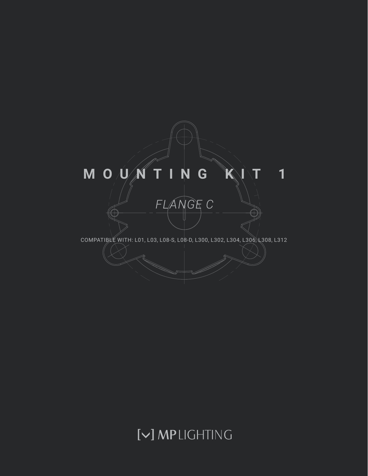

# [V] MPLIGHTING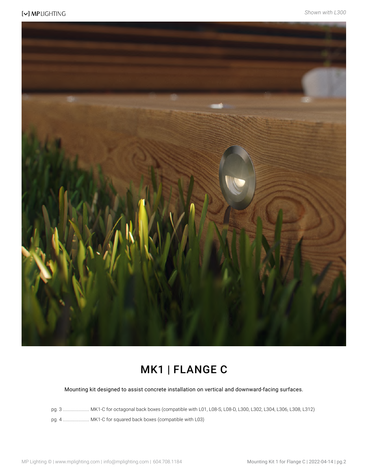

### MK1 | FLANGE C

Mounting kit designed to assist concrete installation on vertical and downward-facing surfaces.

pg. 3 ...................... MK1-C for octagonal back boxes (compatible with L01, L08-S, L08-D, L300, L302, L304, L306, L308, L312)

pg. 4 ...................... MK1-C for squared back boxes (compatible with L03)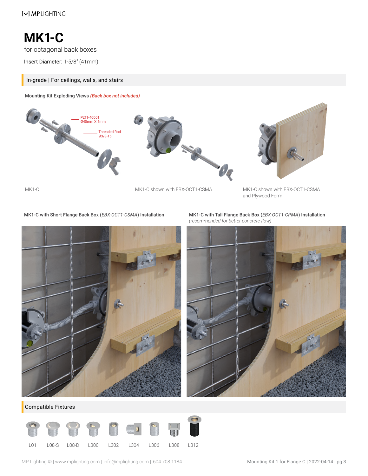**MK1-C**

for octagonal back boxes

Insert Diameter: 1-5/8" (41mm)

#### In-grade | For ceilings, walls, and stairs

Mounting Kit Exploding Views *(Back box not included)*





MK1-C with Short Flange Back Box (*EBX-OCT1-CSMA*) Installation MK1-C with Tall Flange Back Box (*EBX-OCT1-CPMA*) Installation



*(recommended for better concrete flow)*



Compatible Fixtures